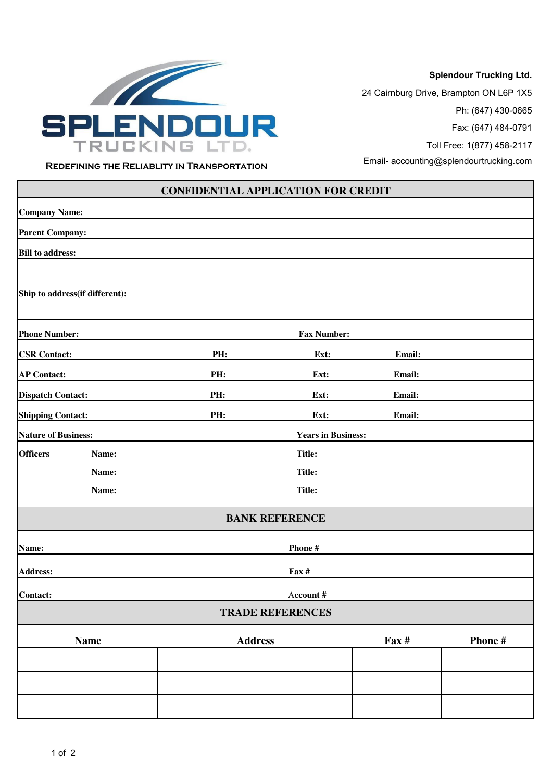

**Splendour Trucking Ltd.**

 24 Cairnburg Drive, Brampton ON L6P 1X5 Ph: (647) 430-0665 Fax: (647) 484-0791

Toll Free: 1(877) 458-2117

**REDEFINING THE RELIABLITY IN TRANSPORTATION** Email- accounting@splendourtrucking.com

| <b>CONFIDENTIAL APPLICATION FOR CREDIT</b> |             |                           |                         |        |         |
|--------------------------------------------|-------------|---------------------------|-------------------------|--------|---------|
| <b>Company Name:</b>                       |             |                           |                         |        |         |
| <b>Parent Company:</b>                     |             |                           |                         |        |         |
| <b>Bill to address:</b>                    |             |                           |                         |        |         |
|                                            |             |                           |                         |        |         |
| Ship to address(if different):             |             |                           |                         |        |         |
|                                            |             |                           |                         |        |         |
| <b>Phone Number:</b>                       |             | <b>Fax Number:</b>        |                         |        |         |
| <b>CSR Contact:</b>                        |             | PH:                       | Ext:                    | Email: |         |
| <b>AP Contact:</b>                         |             | PH:                       | Ext:                    | Email: |         |
| <b>Dispatch Contact:</b>                   |             | PH:                       | Ext:                    | Email: |         |
| <b>Shipping Contact:</b>                   |             | PH:                       | Ext:                    | Email: |         |
| <b>Nature of Business:</b>                 |             | <b>Years in Business:</b> |                         |        |         |
| <b>Officers</b>                            | Name:       | <b>Title:</b>             |                         |        |         |
|                                            | Name:       |                           | <b>Title:</b>           |        |         |
|                                            | Name:       |                           | <b>Title:</b>           |        |         |
|                                            |             |                           | <b>BANK REFERENCE</b>   |        |         |
| Name:                                      |             |                           | Phone #                 |        |         |
| <b>Address:</b><br>Fax #                   |             |                           |                         |        |         |
| Contact:                                   |             |                           | Account #               |        |         |
|                                            |             |                           | <b>TRADE REFERENCES</b> |        |         |
|                                            | <b>Name</b> | <b>Address</b>            |                         | Fax #  | Phone # |
|                                            |             |                           |                         |        |         |
|                                            |             |                           |                         |        |         |
|                                            |             |                           |                         |        |         |
|                                            |             |                           |                         |        |         |